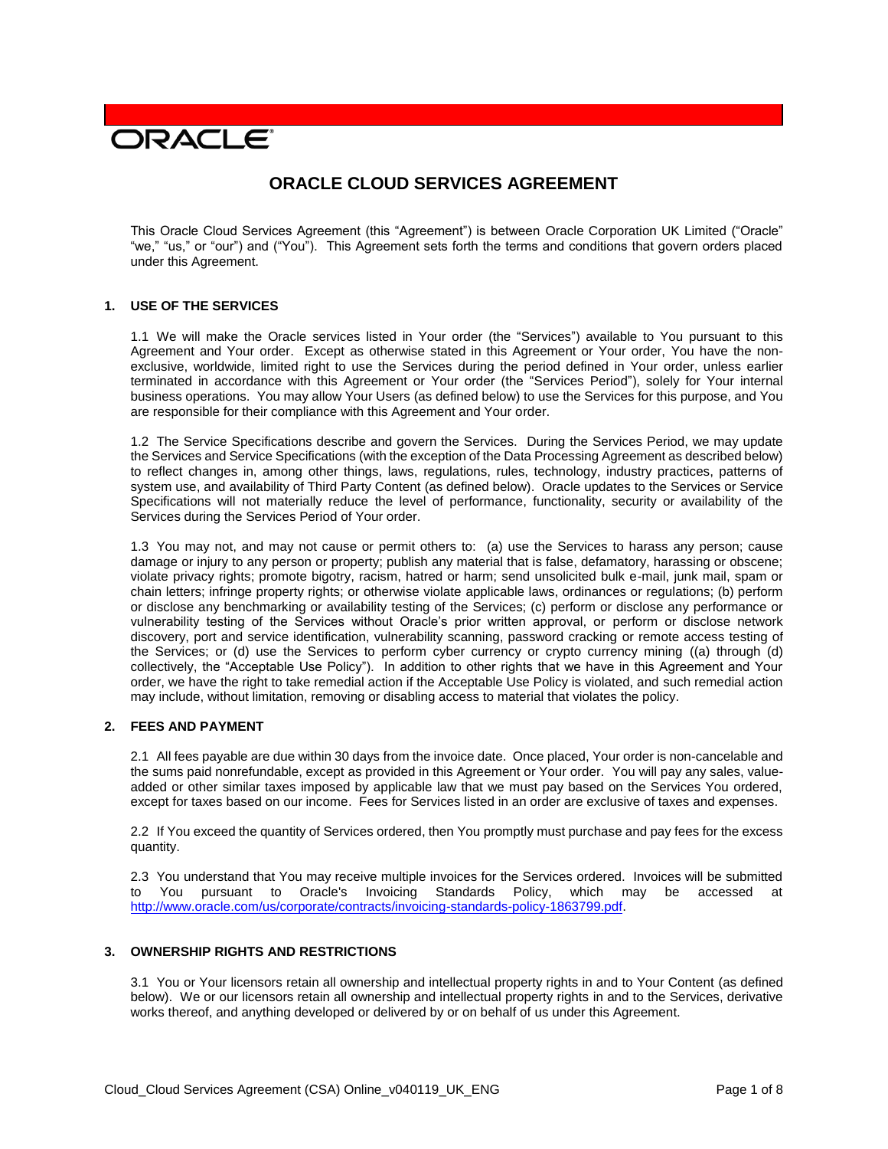# **DRACLE**

# **ORACLE CLOUD SERVICES AGREEMENT**

This Oracle Cloud Services Agreement (this "Agreement") is between Oracle Corporation UK Limited ("Oracle" "we," "us," or "our") and ("You"). This Agreement sets forth the terms and conditions that govern orders placed under this Agreement.

# **1. USE OF THE SERVICES**

1.1 We will make the Oracle services listed in Your order (the "Services") available to You pursuant to this Agreement and Your order. Except as otherwise stated in this Agreement or Your order, You have the nonexclusive, worldwide, limited right to use the Services during the period defined in Your order, unless earlier terminated in accordance with this Agreement or Your order (the "Services Period"), solely for Your internal business operations. You may allow Your Users (as defined below) to use the Services for this purpose, and You are responsible for their compliance with this Agreement and Your order.

1.2 The Service Specifications describe and govern the Services. During the Services Period, we may update the Services and Service Specifications (with the exception of the Data Processing Agreement as described below) to reflect changes in, among other things, laws, regulations, rules, technology, industry practices, patterns of system use, and availability of Third Party Content (as defined below). Oracle updates to the Services or Service Specifications will not materially reduce the level of performance, functionality, security or availability of the Services during the Services Period of Your order.

1.3 You may not, and may not cause or permit others to: (a) use the Services to harass any person; cause damage or injury to any person or property; publish any material that is false, defamatory, harassing or obscene; violate privacy rights; promote bigotry, racism, hatred or harm; send unsolicited bulk e-mail, junk mail, spam or chain letters; infringe property rights; or otherwise violate applicable laws, ordinances or regulations; (b) perform or disclose any benchmarking or availability testing of the Services; (c) perform or disclose any performance or vulnerability testing of the Services without Oracle's prior written approval, or perform or disclose network discovery, port and service identification, vulnerability scanning, password cracking or remote access testing of the Services; or (d) use the Services to perform cyber currency or crypto currency mining ((a) through (d) collectively, the "Acceptable Use Policy"). In addition to other rights that we have in this Agreement and Your order, we have the right to take remedial action if the Acceptable Use Policy is violated, and such remedial action may include, without limitation, removing or disabling access to material that violates the policy.

# **2. FEES AND PAYMENT**

2.1 All fees payable are due within 30 days from the invoice date. Once placed, Your order is non-cancelable and the sums paid nonrefundable, except as provided in this Agreement or Your order. You will pay any sales, valueadded or other similar taxes imposed by applicable law that we must pay based on the Services You ordered, except for taxes based on our income. Fees for Services listed in an order are exclusive of taxes and expenses.

2.2 If You exceed the quantity of Services ordered, then You promptly must purchase and pay fees for the excess quantity.

2.3 You understand that You may receive multiple invoices for the Services ordered. Invoices will be submitted to You pursuant to Oracle's Invoicing Standards Policy, which may be accessed at [http://www.oracle.com/us/corporate/contracts/invoicing-standards-policy-1863799.pdf.](http://www.oracle.com/us/corporate/contracts/invoicing-standards-policy-1863799.pdf)

## **3. OWNERSHIP RIGHTS AND RESTRICTIONS**

3.1 You or Your licensors retain all ownership and intellectual property rights in and to Your Content (as defined below). We or our licensors retain all ownership and intellectual property rights in and to the Services, derivative works thereof, and anything developed or delivered by or on behalf of us under this Agreement.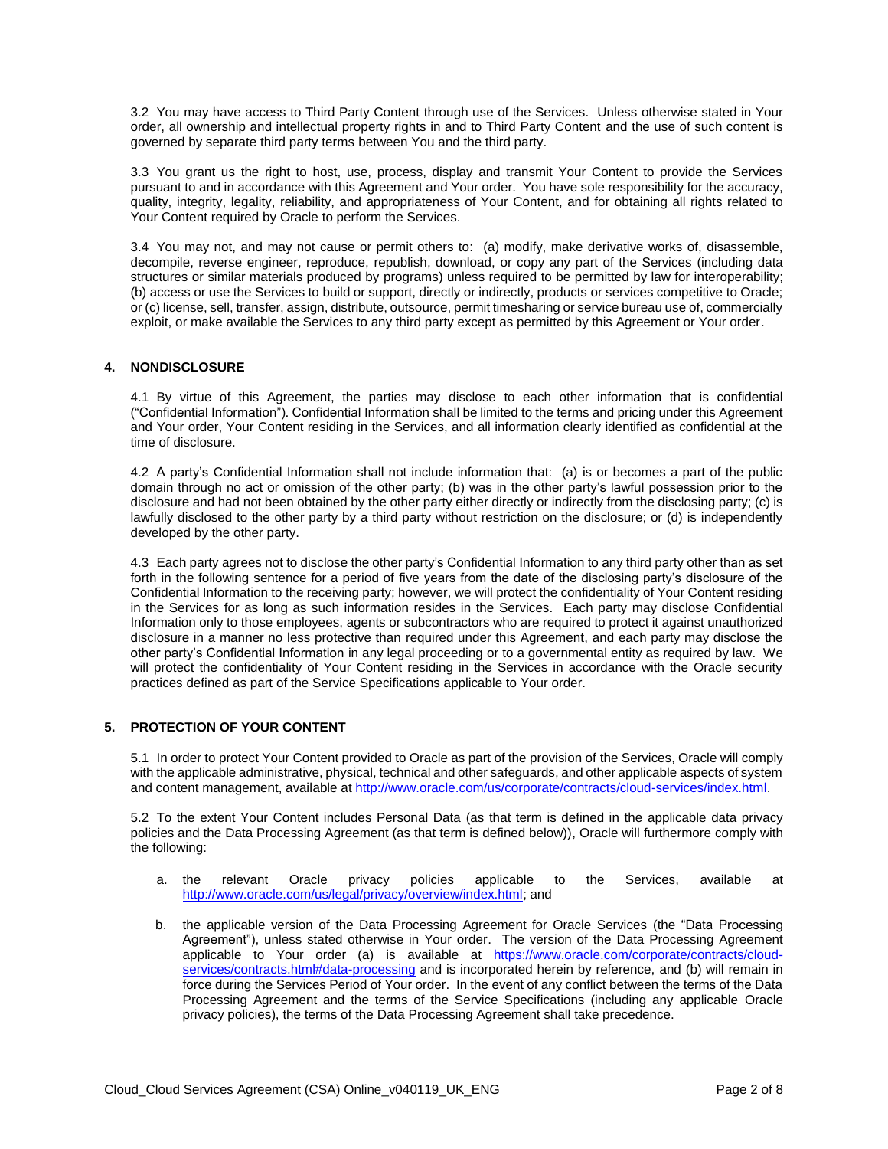3.2 You may have access to Third Party Content through use of the Services. Unless otherwise stated in Your order, all ownership and intellectual property rights in and to Third Party Content and the use of such content is governed by separate third party terms between You and the third party.

3.3 You grant us the right to host, use, process, display and transmit Your Content to provide the Services pursuant to and in accordance with this Agreement and Your order. You have sole responsibility for the accuracy, quality, integrity, legality, reliability, and appropriateness of Your Content, and for obtaining all rights related to Your Content required by Oracle to perform the Services.

3.4 You may not, and may not cause or permit others to: (a) modify, make derivative works of, disassemble, decompile, reverse engineer, reproduce, republish, download, or copy any part of the Services (including data structures or similar materials produced by programs) unless required to be permitted by law for interoperability; (b) access or use the Services to build or support, directly or indirectly, products or services competitive to Oracle; or (c) license, sell, transfer, assign, distribute, outsource, permit timesharing or service bureau use of, commercially exploit, or make available the Services to any third party except as permitted by this Agreement or Your order.

# **4. NONDISCLOSURE**

4.1 By virtue of this Agreement, the parties may disclose to each other information that is confidential ("Confidential Information"). Confidential Information shall be limited to the terms and pricing under this Agreement and Your order, Your Content residing in the Services, and all information clearly identified as confidential at the time of disclosure.

4.2 A party's Confidential Information shall not include information that: (a) is or becomes a part of the public domain through no act or omission of the other party; (b) was in the other party's lawful possession prior to the disclosure and had not been obtained by the other party either directly or indirectly from the disclosing party; (c) is lawfully disclosed to the other party by a third party without restriction on the disclosure; or (d) is independently developed by the other party.

4.3 Each party agrees not to disclose the other party's Confidential Information to any third party other than as set forth in the following sentence for a period of five years from the date of the disclosing party's disclosure of the Confidential Information to the receiving party; however, we will protect the confidentiality of Your Content residing in the Services for as long as such information resides in the Services. Each party may disclose Confidential Information only to those employees, agents or subcontractors who are required to protect it against unauthorized disclosure in a manner no less protective than required under this Agreement, and each party may disclose the other party's Confidential Information in any legal proceeding or to a governmental entity as required by law. We will protect the confidentiality of Your Content residing in the Services in accordance with the Oracle security practices defined as part of the Service Specifications applicable to Your order.

# **5. PROTECTION OF YOUR CONTENT**

5.1 In order to protect Your Content provided to Oracle as part of the provision of the Services, Oracle will comply with the applicable administrative, physical, technical and other safeguards, and other applicable aspects of system and content management, available at [http://www.oracle.com/us/corporate/contracts/cloud-services/index.html.](http://www.oracle.com/us/corporate/contracts/cloud-services/index.html)

5.2 To the extent Your Content includes Personal Data (as that term is defined in the applicable data privacy policies and the Data Processing Agreement (as that term is defined below)), Oracle will furthermore comply with the following:

- a. the relevant Oracle privacy policies applicable to the Services, available at [http://www.oracle.com/us/legal/privacy/overview/index.html;](http://www.oracle.com/us/legal/privacy/overview/index.html) and
- b. the applicable version of the Data Processing Agreement for Oracle Services (the "Data Processing Agreement"), unless stated otherwise in Your order. The version of the Data Processing Agreement applicable to Your order (a) is available at [https://www.oracle.com/corporate/contracts/cloud](https://www.oracle.com/corporate/contracts/cloud-services/contracts.html#data-processing)[services/contracts.html#data-processing](https://www.oracle.com/corporate/contracts/cloud-services/contracts.html#data-processing) and is incorporated herein by reference, and (b) will remain in force during the Services Period of Your order. In the event of any conflict between the terms of the Data Processing Agreement and the terms of the Service Specifications (including any applicable Oracle privacy policies), the terms of the Data Processing Agreement shall take precedence.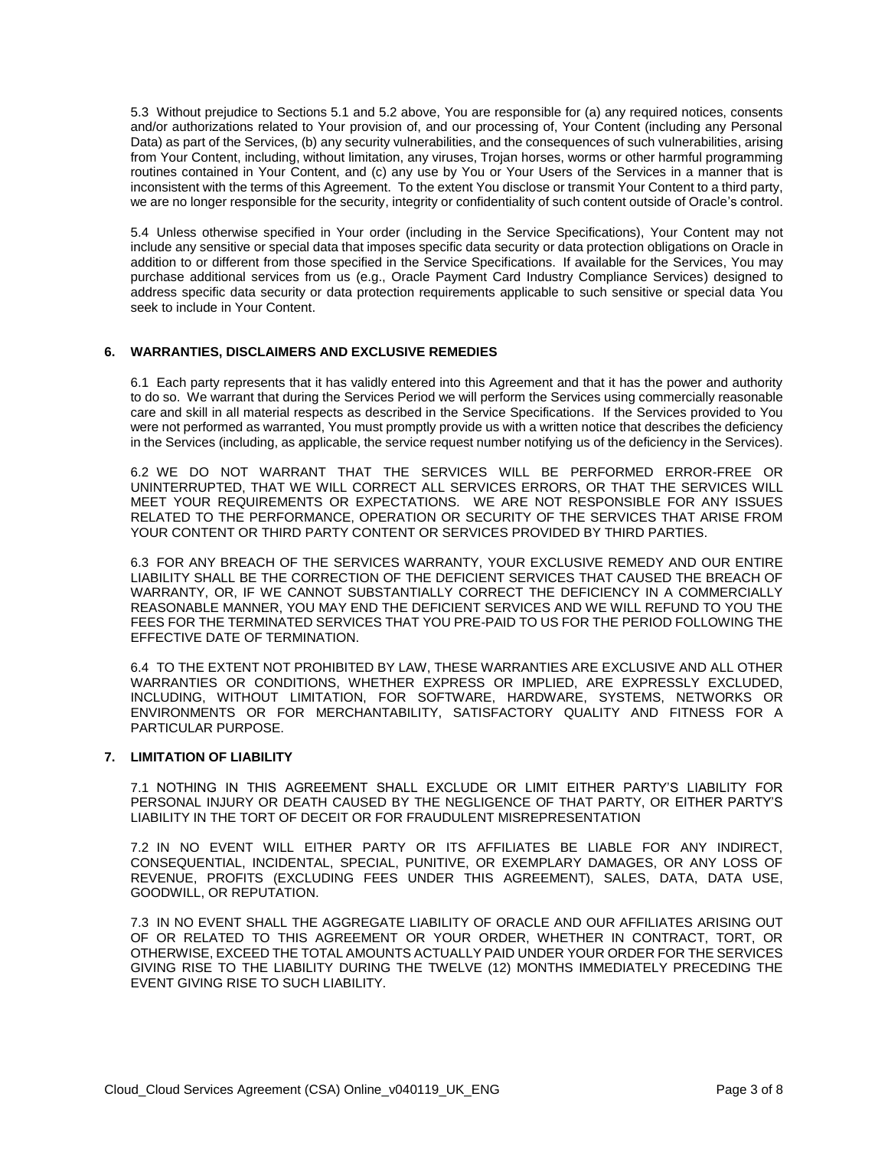5.3 Without prejudice to Sections 5.1 and 5.2 above, You are responsible for (a) any required notices, consents and/or authorizations related to Your provision of, and our processing of, Your Content (including any Personal Data) as part of the Services, (b) any security vulnerabilities, and the consequences of such vulnerabilities, arising from Your Content, including, without limitation, any viruses, Trojan horses, worms or other harmful programming routines contained in Your Content, and (c) any use by You or Your Users of the Services in a manner that is inconsistent with the terms of this Agreement. To the extent You disclose or transmit Your Content to a third party, we are no longer responsible for the security, integrity or confidentiality of such content outside of Oracle's control.

5.4 Unless otherwise specified in Your order (including in the Service Specifications), Your Content may not include any sensitive or special data that imposes specific data security or data protection obligations on Oracle in addition to or different from those specified in the Service Specifications. If available for the Services, You may purchase additional services from us (e.g., Oracle Payment Card Industry Compliance Services) designed to address specific data security or data protection requirements applicable to such sensitive or special data You seek to include in Your Content.

# **6. WARRANTIES, DISCLAIMERS AND EXCLUSIVE REMEDIES**

6.1 Each party represents that it has validly entered into this Agreement and that it has the power and authority to do so. We warrant that during the Services Period we will perform the Services using commercially reasonable care and skill in all material respects as described in the Service Specifications. If the Services provided to You were not performed as warranted, You must promptly provide us with a written notice that describes the deficiency in the Services (including, as applicable, the service request number notifying us of the deficiency in the Services).

6.2 WE DO NOT WARRANT THAT THE SERVICES WILL BE PERFORMED ERROR-FREE OR UNINTERRUPTED, THAT WE WILL CORRECT ALL SERVICES ERRORS, OR THAT THE SERVICES WILL MEET YOUR REQUIREMENTS OR EXPECTATIONS. WE ARE NOT RESPONSIBLE FOR ANY ISSUES RELATED TO THE PERFORMANCE, OPERATION OR SECURITY OF THE SERVICES THAT ARISE FROM YOUR CONTENT OR THIRD PARTY CONTENT OR SERVICES PROVIDED BY THIRD PARTIES.

6.3 FOR ANY BREACH OF THE SERVICES WARRANTY, YOUR EXCLUSIVE REMEDY AND OUR ENTIRE LIABILITY SHALL BE THE CORRECTION OF THE DEFICIENT SERVICES THAT CAUSED THE BREACH OF WARRANTY, OR, IF WE CANNOT SUBSTANTIALLY CORRECT THE DEFICIENCY IN A COMMERCIALLY REASONABLE MANNER, YOU MAY END THE DEFICIENT SERVICES AND WE WILL REFUND TO YOU THE FEES FOR THE TERMINATED SERVICES THAT YOU PRE-PAID TO US FOR THE PERIOD FOLLOWING THE EFFECTIVE DATE OF TERMINATION.

6.4 TO THE EXTENT NOT PROHIBITED BY LAW, THESE WARRANTIES ARE EXCLUSIVE AND ALL OTHER WARRANTIES OR CONDITIONS, WHETHER EXPRESS OR IMPLIED, ARE EXPRESSLY EXCLUDED, INCLUDING, WITHOUT LIMITATION, FOR SOFTWARE, HARDWARE, SYSTEMS, NETWORKS OR ENVIRONMENTS OR FOR MERCHANTABILITY, SATISFACTORY QUALITY AND FITNESS FOR A PARTICULAR PURPOSE.

#### **7. LIMITATION OF LIABILITY**

7.1 NOTHING IN THIS AGREEMENT SHALL EXCLUDE OR LIMIT EITHER PARTY'S LIABILITY FOR PERSONAL INJURY OR DEATH CAUSED BY THE NEGLIGENCE OF THAT PARTY, OR EITHER PARTY'S LIABILITY IN THE TORT OF DECEIT OR FOR FRAUDULENT MISREPRESENTATION

7.2 IN NO EVENT WILL EITHER PARTY OR ITS AFFILIATES BE LIABLE FOR ANY INDIRECT, CONSEQUENTIAL, INCIDENTAL, SPECIAL, PUNITIVE, OR EXEMPLARY DAMAGES, OR ANY LOSS OF REVENUE, PROFITS (EXCLUDING FEES UNDER THIS AGREEMENT), SALES, DATA, DATA USE, GOODWILL, OR REPUTATION.

7.3 IN NO EVENT SHALL THE AGGREGATE LIABILITY OF ORACLE AND OUR AFFILIATES ARISING OUT OF OR RELATED TO THIS AGREEMENT OR YOUR ORDER, WHETHER IN CONTRACT, TORT, OR OTHERWISE, EXCEED THE TOTAL AMOUNTS ACTUALLY PAID UNDER YOUR ORDER FOR THE SERVICES GIVING RISE TO THE LIABILITY DURING THE TWELVE (12) MONTHS IMMEDIATELY PRECEDING THE EVENT GIVING RISE TO SUCH LIABILITY.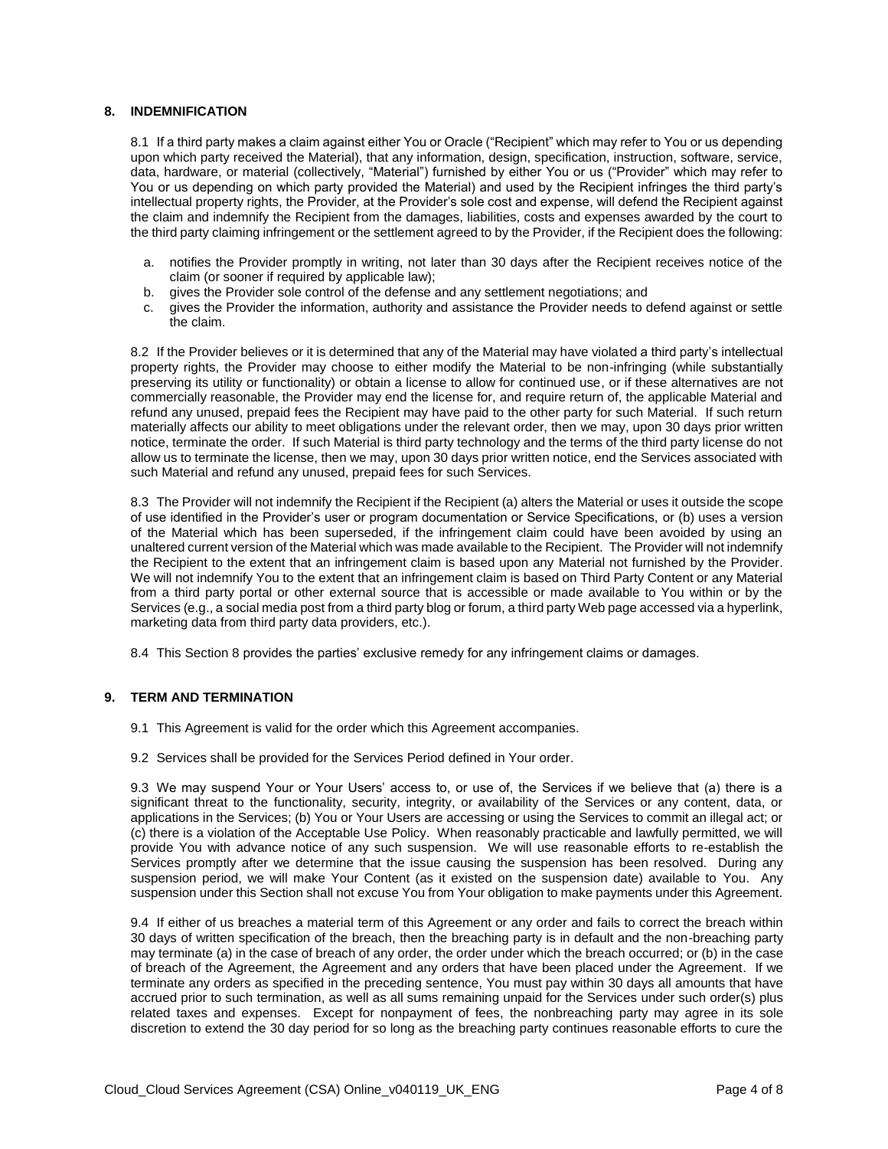# **8. INDEMNIFICATION**

8.1 If a third party makes a claim against either You or Oracle ("Recipient" which may refer to You or us depending upon which party received the Material), that any information, design, specification, instruction, software, service, data, hardware, or material (collectively, "Material") furnished by either You or us ("Provider" which may refer to You or us depending on which party provided the Material) and used by the Recipient infringes the third party's intellectual property rights, the Provider, at the Provider's sole cost and expense, will defend the Recipient against the claim and indemnify the Recipient from the damages, liabilities, costs and expenses awarded by the court to the third party claiming infringement or the settlement agreed to by the Provider, if the Recipient does the following:

- a. notifies the Provider promptly in writing, not later than 30 days after the Recipient receives notice of the claim (or sooner if required by applicable law);
- b. gives the Provider sole control of the defense and any settlement negotiations; and
- c. gives the Provider the information, authority and assistance the Provider needs to defend against or settle the claim.

8.2 If the Provider believes or it is determined that any of the Material may have violated a third party's intellectual property rights, the Provider may choose to either modify the Material to be non-infringing (while substantially preserving its utility or functionality) or obtain a license to allow for continued use, or if these alternatives are not commercially reasonable, the Provider may end the license for, and require return of, the applicable Material and refund any unused, prepaid fees the Recipient may have paid to the other party for such Material. If such return materially affects our ability to meet obligations under the relevant order, then we may, upon 30 days prior written notice, terminate the order. If such Material is third party technology and the terms of the third party license do not allow us to terminate the license, then we may, upon 30 days prior written notice, end the Services associated with such Material and refund any unused, prepaid fees for such Services.

8.3 The Provider will not indemnify the Recipient if the Recipient (a) alters the Material or uses it outside the scope of use identified in the Provider's user or program documentation or Service Specifications, or (b) uses a version of the Material which has been superseded, if the infringement claim could have been avoided by using an unaltered current version of the Material which was made available to the Recipient. The Provider will not indemnify the Recipient to the extent that an infringement claim is based upon any Material not furnished by the Provider. We will not indemnify You to the extent that an infringement claim is based on Third Party Content or any Material from a third party portal or other external source that is accessible or made available to You within or by the Services (e.g., a social media post from a third party blog or forum, a third party Web page accessed via a hyperlink, marketing data from third party data providers, etc.).

8.4 This Section 8 provides the parties' exclusive remedy for any infringement claims or damages.

# **9. TERM AND TERMINATION**

- 9.1 This Agreement is valid for the order which this Agreement accompanies.
- 9.2 Services shall be provided for the Services Period defined in Your order.

9.3 We may suspend Your or Your Users' access to, or use of, the Services if we believe that (a) there is a significant threat to the functionality, security, integrity, or availability of the Services or any content, data, or applications in the Services; (b) You or Your Users are accessing or using the Services to commit an illegal act; or (c) there is a violation of the Acceptable Use Policy. When reasonably practicable and lawfully permitted, we will provide You with advance notice of any such suspension. We will use reasonable efforts to re-establish the Services promptly after we determine that the issue causing the suspension has been resolved. During any suspension period, we will make Your Content (as it existed on the suspension date) available to You. Any suspension under this Section shall not excuse You from Your obligation to make payments under this Agreement.

9.4 If either of us breaches a material term of this Agreement or any order and fails to correct the breach within 30 days of written specification of the breach, then the breaching party is in default and the non-breaching party may terminate (a) in the case of breach of any order, the order under which the breach occurred; or (b) in the case of breach of the Agreement, the Agreement and any orders that have been placed under the Agreement. If we terminate any orders as specified in the preceding sentence, You must pay within 30 days all amounts that have accrued prior to such termination, as well as all sums remaining unpaid for the Services under such order(s) plus related taxes and expenses. Except for nonpayment of fees, the nonbreaching party may agree in its sole discretion to extend the 30 day period for so long as the breaching party continues reasonable efforts to cure the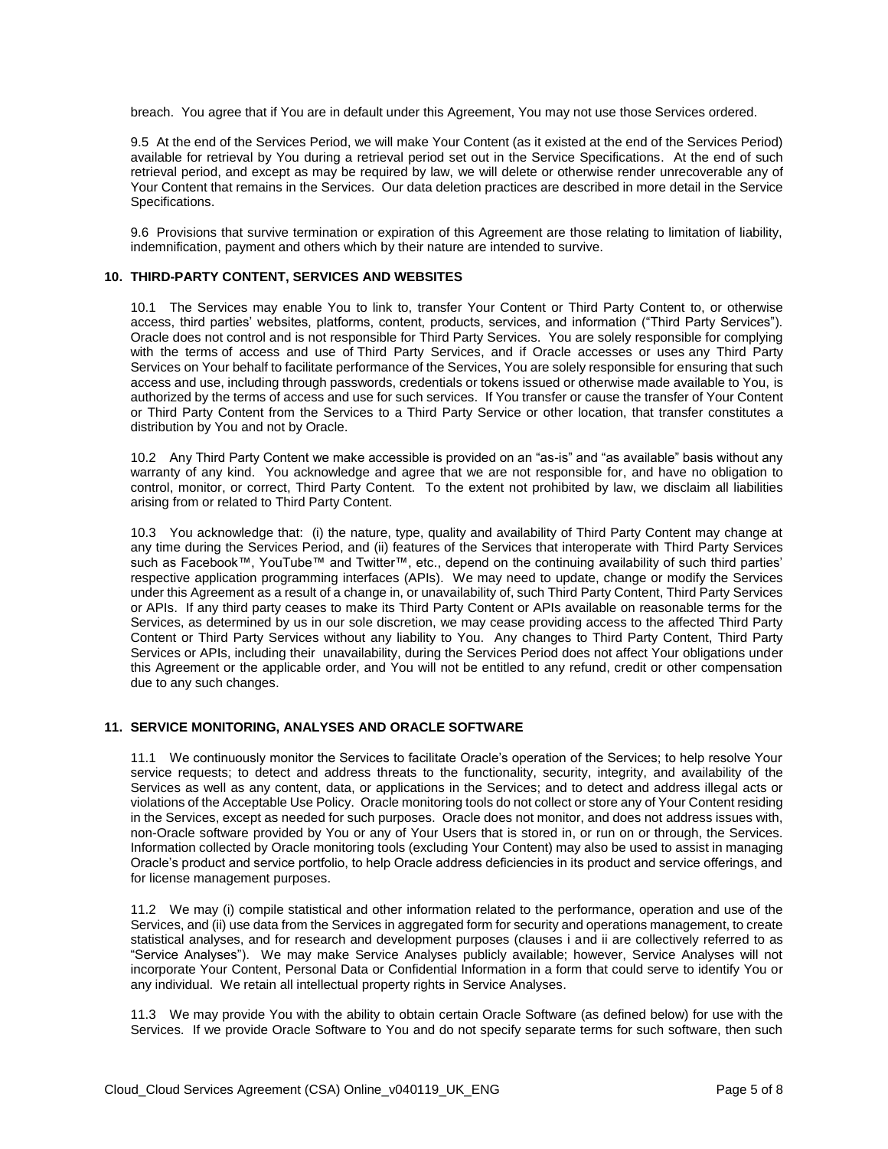breach. You agree that if You are in default under this Agreement, You may not use those Services ordered.

9.5 At the end of the Services Period, we will make Your Content (as it existed at the end of the Services Period) available for retrieval by You during a retrieval period set out in the Service Specifications. At the end of such retrieval period, and except as may be required by law, we will delete or otherwise render unrecoverable any of Your Content that remains in the Services. Our data deletion practices are described in more detail in the Service Specifications.

9.6 Provisions that survive termination or expiration of this Agreement are those relating to limitation of liability, indemnification, payment and others which by their nature are intended to survive.

#### **10. THIRD-PARTY CONTENT, SERVICES AND WEBSITES**

10.1 The Services may enable You to link to, transfer Your Content or Third Party Content to, or otherwise access, third parties' websites, platforms, content, products, services, and information ("Third Party Services"). Oracle does not control and is not responsible for Third Party Services. You are solely responsible for complying with the terms of access and use of Third Party Services, and if Oracle accesses or uses any Third Party Services on Your behalf to facilitate performance of the Services, You are solely responsible for ensuring that such access and use, including through passwords, credentials or tokens issued or otherwise made available to You, is authorized by the terms of access and use for such services. If You transfer or cause the transfer of Your Content or Third Party Content from the Services to a Third Party Service or other location, that transfer constitutes a distribution by You and not by Oracle.

10.2 Any Third Party Content we make accessible is provided on an "as-is" and "as available" basis without any warranty of any kind. You acknowledge and agree that we are not responsible for, and have no obligation to control, monitor, or correct, Third Party Content. To the extent not prohibited by law, we disclaim all liabilities arising from or related to Third Party Content.

10.3 You acknowledge that: (i) the nature, type, quality and availability of Third Party Content may change at any time during the Services Period, and (ii) features of the Services that interoperate with Third Party Services such as Facebook™, YouTube™ and Twitter™, etc., depend on the continuing availability of such third parties' respective application programming interfaces (APIs). We may need to update, change or modify the Services under this Agreement as a result of a change in, or unavailability of, such Third Party Content, Third Party Services or APIs. If any third party ceases to make its Third Party Content or APIs available on reasonable terms for the Services, as determined by us in our sole discretion, we may cease providing access to the affected Third Party Content or Third Party Services without any liability to You. Any changes to Third Party Content, Third Party Services or APIs, including their unavailability, during the Services Period does not affect Your obligations under this Agreement or the applicable order, and You will not be entitled to any refund, credit or other compensation due to any such changes.

#### **11. SERVICE MONITORING, ANALYSES AND ORACLE SOFTWARE**

11.1 We continuously monitor the Services to facilitate Oracle's operation of the Services; to help resolve Your service requests; to detect and address threats to the functionality, security, integrity, and availability of the Services as well as any content, data, or applications in the Services; and to detect and address illegal acts or violations of the Acceptable Use Policy. Oracle monitoring tools do not collect or store any of Your Content residing in the Services, except as needed for such purposes. Oracle does not monitor, and does not address issues with, non-Oracle software provided by You or any of Your Users that is stored in, or run on or through, the Services. Information collected by Oracle monitoring tools (excluding Your Content) may also be used to assist in managing Oracle's product and service portfolio, to help Oracle address deficiencies in its product and service offerings, and for license management purposes.

11.2 We may (i) compile statistical and other information related to the performance, operation and use of the Services, and (ii) use data from the Services in aggregated form for security and operations management, to create statistical analyses, and for research and development purposes (clauses i and ii are collectively referred to as "Service Analyses"). We may make Service Analyses publicly available; however, Service Analyses will not incorporate Your Content, Personal Data or Confidential Information in a form that could serve to identify You or any individual. We retain all intellectual property rights in Service Analyses.

11.3 We may provide You with the ability to obtain certain Oracle Software (as defined below) for use with the Services. If we provide Oracle Software to You and do not specify separate terms for such software, then such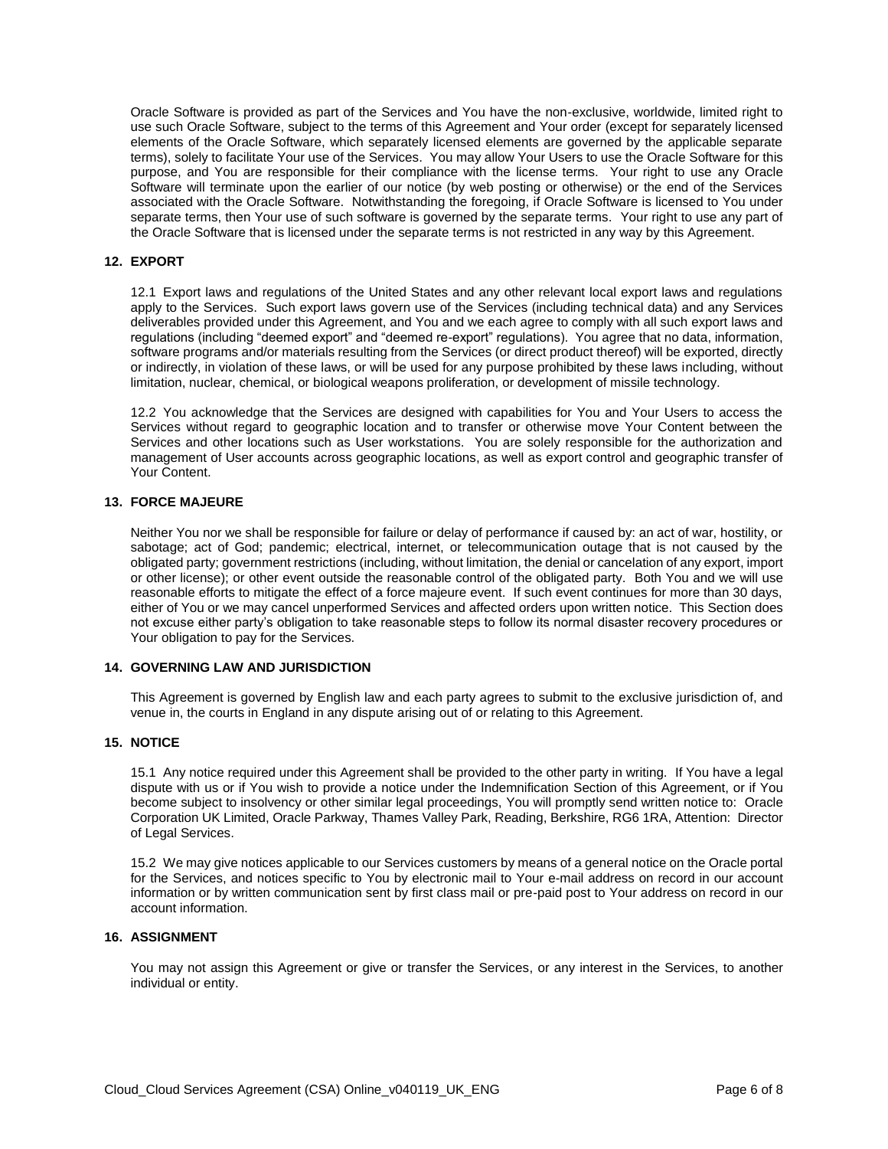Oracle Software is provided as part of the Services and You have the non-exclusive, worldwide, limited right to use such Oracle Software, subject to the terms of this Agreement and Your order (except for separately licensed elements of the Oracle Software, which separately licensed elements are governed by the applicable separate terms), solely to facilitate Your use of the Services. You may allow Your Users to use the Oracle Software for this purpose, and You are responsible for their compliance with the license terms. Your right to use any Oracle Software will terminate upon the earlier of our notice (by web posting or otherwise) or the end of the Services associated with the Oracle Software. Notwithstanding the foregoing, if Oracle Software is licensed to You under separate terms, then Your use of such software is governed by the separate terms. Your right to use any part of the Oracle Software that is licensed under the separate terms is not restricted in any way by this Agreement.

## **12. EXPORT**

12.1 Export laws and regulations of the United States and any other relevant local export laws and regulations apply to the Services. Such export laws govern use of the Services (including technical data) and any Services deliverables provided under this Agreement, and You and we each agree to comply with all such export laws and regulations (including "deemed export" and "deemed re-export" regulations). You agree that no data, information, software programs and/or materials resulting from the Services (or direct product thereof) will be exported, directly or indirectly, in violation of these laws, or will be used for any purpose prohibited by these laws including, without limitation, nuclear, chemical, or biological weapons proliferation, or development of missile technology.

12.2 You acknowledge that the Services are designed with capabilities for You and Your Users to access the Services without regard to geographic location and to transfer or otherwise move Your Content between the Services and other locations such as User workstations. You are solely responsible for the authorization and management of User accounts across geographic locations, as well as export control and geographic transfer of Your Content.

# **13. FORCE MAJEURE**

Neither You nor we shall be responsible for failure or delay of performance if caused by: an act of war, hostility, or sabotage; act of God; pandemic; electrical, internet, or telecommunication outage that is not caused by the obligated party; government restrictions (including, without limitation, the denial or cancelation of any export, import or other license); or other event outside the reasonable control of the obligated party. Both You and we will use reasonable efforts to mitigate the effect of a force majeure event. If such event continues for more than 30 days, either of You or we may cancel unperformed Services and affected orders upon written notice. This Section does not excuse either party's obligation to take reasonable steps to follow its normal disaster recovery procedures or Your obligation to pay for the Services.

#### **14. GOVERNING LAW AND JURISDICTION**

This Agreement is governed by English law and each party agrees to submit to the exclusive jurisdiction of, and venue in, the courts in England in any dispute arising out of or relating to this Agreement.

# **15. NOTICE**

15.1 Any notice required under this Agreement shall be provided to the other party in writing. If You have a legal dispute with us or if You wish to provide a notice under the Indemnification Section of this Agreement, or if You become subject to insolvency or other similar legal proceedings, You will promptly send written notice to: Oracle Corporation UK Limited, Oracle Parkway, Thames Valley Park, Reading, Berkshire, RG6 1RA, Attention: Director of Legal Services.

15.2 We may give notices applicable to our Services customers by means of a general notice on the Oracle portal for the Services, and notices specific to You by electronic mail to Your e-mail address on record in our account information or by written communication sent by first class mail or pre-paid post to Your address on record in our account information.

#### **16. ASSIGNMENT**

You may not assign this Agreement or give or transfer the Services, or any interest in the Services, to another individual or entity.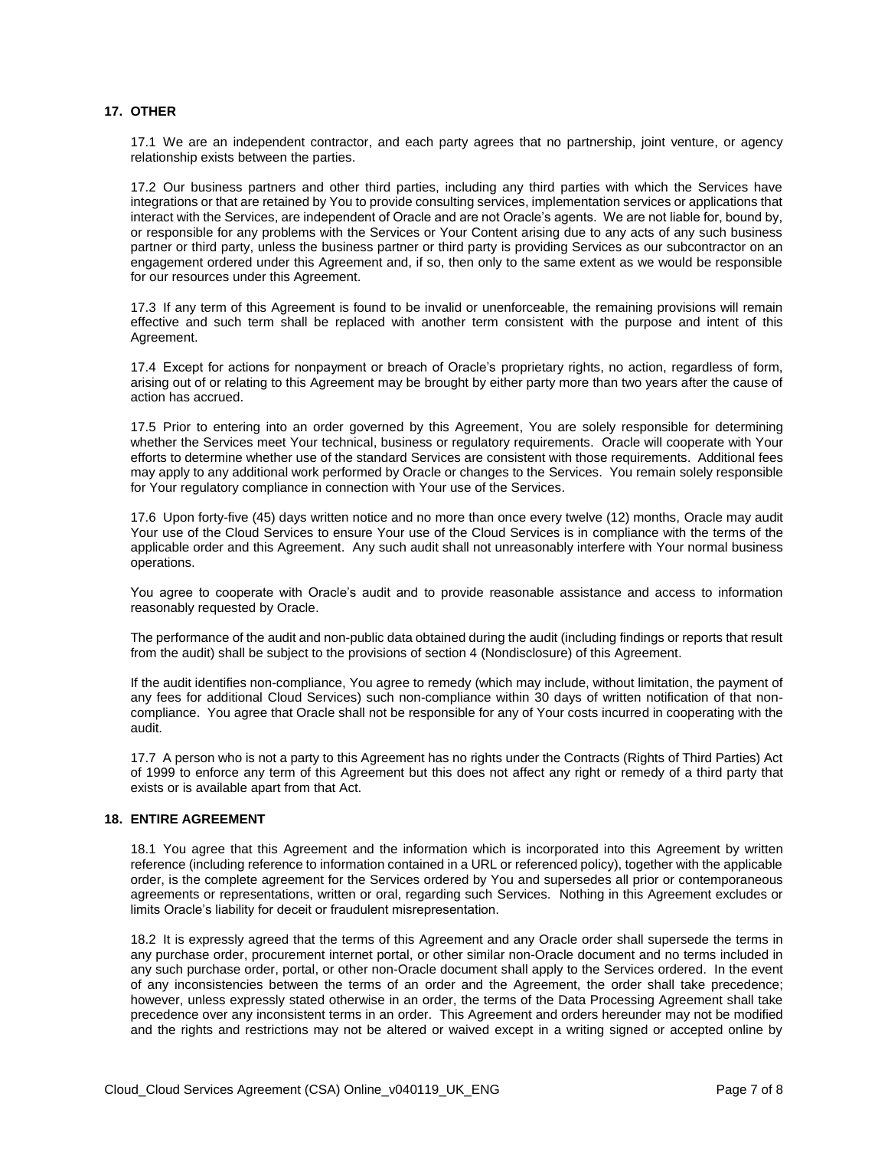# **17. OTHER**

17.1 We are an independent contractor, and each party agrees that no partnership, joint venture, or agency relationship exists between the parties.

17.2 Our business partners and other third parties, including any third parties with which the Services have integrations or that are retained by You to provide consulting services, implementation services or applications that interact with the Services, are independent of Oracle and are not Oracle's agents. We are not liable for, bound by, or responsible for any problems with the Services or Your Content arising due to any acts of any such business partner or third party, unless the business partner or third party is providing Services as our subcontractor on an engagement ordered under this Agreement and, if so, then only to the same extent as we would be responsible for our resources under this Agreement.

17.3 If any term of this Agreement is found to be invalid or unenforceable, the remaining provisions will remain effective and such term shall be replaced with another term consistent with the purpose and intent of this Agreement.

17.4 Except for actions for nonpayment or breach of Oracle's proprietary rights, no action, regardless of form, arising out of or relating to this Agreement may be brought by either party more than two years after the cause of action has accrued.

17.5 Prior to entering into an order governed by this Agreement, You are solely responsible for determining whether the Services meet Your technical, business or regulatory requirements. Oracle will cooperate with Your efforts to determine whether use of the standard Services are consistent with those requirements. Additional fees may apply to any additional work performed by Oracle or changes to the Services. You remain solely responsible for Your regulatory compliance in connection with Your use of the Services.

17.6 Upon forty-five (45) days written notice and no more than once every twelve (12) months, Oracle may audit Your use of the Cloud Services to ensure Your use of the Cloud Services is in compliance with the terms of the applicable order and this Agreement. Any such audit shall not unreasonably interfere with Your normal business operations.

You agree to cooperate with Oracle's audit and to provide reasonable assistance and access to information reasonably requested by Oracle.

The performance of the audit and non-public data obtained during the audit (including findings or reports that result from the audit) shall be subject to the provisions of section 4 (Nondisclosure) of this Agreement.

If the audit identifies non-compliance, You agree to remedy (which may include, without limitation, the payment of any fees for additional Cloud Services) such non-compliance within 30 days of written notification of that noncompliance. You agree that Oracle shall not be responsible for any of Your costs incurred in cooperating with the audit.

17.7 A person who is not a party to this Agreement has no rights under the Contracts (Rights of Third Parties) Act of 1999 to enforce any term of this Agreement but this does not affect any right or remedy of a third party that exists or is available apart from that Act.

# **18. ENTIRE AGREEMENT**

18.1 You agree that this Agreement and the information which is incorporated into this Agreement by written reference (including reference to information contained in a URL or referenced policy), together with the applicable order, is the complete agreement for the Services ordered by You and supersedes all prior or contemporaneous agreements or representations, written or oral, regarding such Services. Nothing in this Agreement excludes or limits Oracle's liability for deceit or fraudulent misrepresentation.

18.2 It is expressly agreed that the terms of this Agreement and any Oracle order shall supersede the terms in any purchase order, procurement internet portal, or other similar non-Oracle document and no terms included in any such purchase order, portal, or other non-Oracle document shall apply to the Services ordered. In the event of any inconsistencies between the terms of an order and the Agreement, the order shall take precedence; however, unless expressly stated otherwise in an order, the terms of the Data Processing Agreement shall take precedence over any inconsistent terms in an order. This Agreement and orders hereunder may not be modified and the rights and restrictions may not be altered or waived except in a writing signed or accepted online by